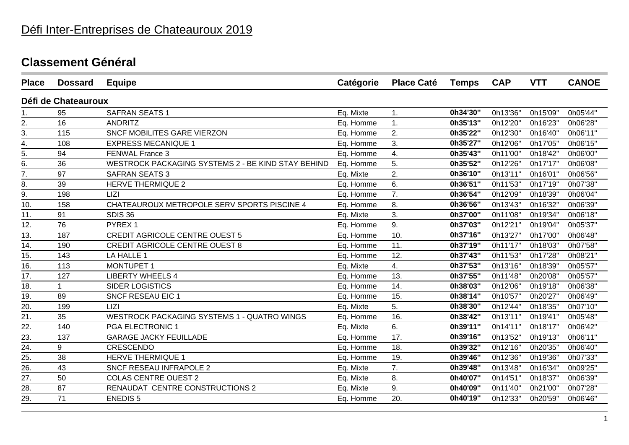| <b>Place</b>     | <b>Dossard</b>      | <b>Equipe</b>                                      | Catégorie | <b>Place Caté</b> | <b>Temps</b> | <b>CAP</b> | <b>VTT</b> | <b>CANOE</b> |
|------------------|---------------------|----------------------------------------------------|-----------|-------------------|--------------|------------|------------|--------------|
|                  | Défi de Chateauroux |                                                    |           |                   |              |            |            |              |
| 1.               | 95                  | <b>SAFRAN SEATS 1</b>                              | Eq. Mixte | $\mathbf{1}$ .    | 0h34'30"     | 0h13'36"   | 0h15'09"   | 0h05'44"     |
| 2.               | 16                  | <b>ANDRITZ</b>                                     | Eq. Homme | 1.                | 0h35'13"     | 0h12'20"   | 0h16'23"   | 0h06'28"     |
| $\overline{3}$ . | 115                 | <b>SNCF MOBILITES GARE VIERZON</b>                 | Eq. Homme | 2.                | 0h35'22"     | 0h12'30"   | 0h16'40"   | 0h06'11"     |
| 4.               | 108                 | <b>EXPRESS MECANIQUE 1</b>                         | Eq. Homme | 3.                | 0h35'27"     | 0h12'06"   | 0h17'05"   | 0h06'15"     |
| 5.               | 94                  | FENWAL France 3                                    | Eq. Homme | 4.                | 0h35'43"     | 0h11'00"   | 0h18'42"   | 0h06'00"     |
| $\overline{6}$ . | 36                  | WESTROCK PACKAGING SYSTEMS 2 - BE KIND STAY BEHIND | Eq. Homme | 5.                | 0h35'52"     | 0h12'26"   | 0h17'17"   | 0h06'08"     |
| $\frac{7}{8}$ .  | 97                  | <b>SAFRAN SEATS 3</b>                              | Eq. Mixte | 2.                | 0h36'10"     | 0h13'11"   | 0h16'01"   | 0h06'56"     |
|                  | 39                  | <b>HERVE THERMIQUE 2</b>                           | Eq. Homme | 6.                | 0h36'51"     | 0h11'53"   | 0h17'19"   | 0h07'38"     |
| $\overline{9}$ . | 198                 | <b>LIZI</b>                                        | Eq. Homme | 7.                | 0h36'54"     | 0h12'09"   | 0h18'39"   | 0h06'04"     |
| 10.              | 158                 | CHATEAUROUX METROPOLE SERV SPORTS PISCINE 4        | Eq. Homme | 8.                | 0h36'56"     | 0h13'43"   | 0h16'32"   | 0h06'39"     |
| 11.              | 91                  | <b>SDIS 36</b>                                     | Eq. Mixte | 3.                | 0h37'00"     | 0h11'08"   | 0h19'34"   | 0h06'18"     |
| 12.              | 76                  | PYREX 1                                            | Eq. Homme | 9.                | 0h37'03"     | 0h12'21"   | 0h19'04"   | 0h05'37"     |
| 13.              | 187                 | <b>CREDIT AGRICOLE CENTRE OUEST 5</b>              | Eq. Homme | 10.               | 0h37'16"     | 0h13'27"   | 0h17'00"   | 0h06'48"     |
| 14.              | 190                 | <b>CREDIT AGRICOLE CENTRE OUEST 8</b>              | Eq. Homme | 11.               | 0h37'19"     | 0h11'17"   | 0h18'03"   | 0h07'58"     |
| 15.              | 143                 | LA HALLE 1                                         | Eq. Homme | 12.               | 0h37'43"     | 0h11'53"   | 0h17'28"   | 0h08'21"     |
| 16.              | 113                 | <b>MONTUPET 1</b>                                  | Eq. Mixte | 4.                | 0h37'53"     | 0h13'16"   | 0h18'39"   | 0h05'57"     |
| 17.              | 127                 | <b>LIBERTY WHEELS 4</b>                            | Eq. Homme | 13.               | 0h37'55"     | 0h11'48"   | 0h20'08"   | 0h05'57"     |
| 18.              | $\mathbf 1$         | <b>SIDER LOGISTICS</b>                             | Eq. Homme | 14.               | 0h38'03"     | 0h12'06"   | 0h19'18"   | 0h06'38"     |
| 19.              | 89                  | SNCF RESEAU EIC 1                                  | Eq. Homme | 15.               | 0h38'14"     | 0h10'57"   | 0h20'27'   | 0h06'49"     |
| 20.              | 199                 | <b>LIZI</b>                                        | Eq. Mixte | 5.                | 0h38'30"     | 0h12'44"   | 0h18'35"   | 0h07'10"     |
| 21.              | 35                  | <b>WESTROCK PACKAGING SYSTEMS 1 - QUATRO WINGS</b> | Eq. Homme | 16.               | 0h38'42"     | 0h13'11"   | 0h19'41"   | 0h05'48"     |
| 22.              | 140                 | PGA ELECTRONIC 1                                   | Eq. Mixte | 6.                | 0h39'11"     | 0h14'11"   | 0h18'17"   | 0h06'42"     |
| 23.              | 137                 | <b>GARAGE JACKY FEUILLADE</b>                      | Eq. Homme | 17.               | 0h39'16"     | 0h13'52"   | 0h19'13"   | 0h06'11"     |
| 24.              | 9                   | CRESCENDO                                          | Eq. Homme | 18.               | 0h39'32"     | 0h12'16"   | 0h20'35"   | 0h06'40"     |
| 25.              | 38                  | <b>HERVE THERMIQUE 1</b>                           | Eq. Homme | 19.               | 0h39'46"     | 0h12'36"   | 0h19'36"   | 0h07'33"     |
| 26.              | 43                  | SNCF RESEAU INFRAPOLE 2                            | Eq. Mixte | 7.                | 0h39'48"     | 0h13'48"   | 0h16'34"   | 0h09'25"     |
| 27.              | 50                  | <b>COLAS CENTRE OUEST 2</b>                        | Eq. Mixte | 8.                | 0h40'07"     | 0h14'51"   | 0h18'37"   | 0h06'39"     |
| 28.              | 87                  | RENAUDAT CENTRE CONSTRUCTIONS 2                    | Eq. Mixte | 9.                | 0h40'09"     | 0h11'40"   | 0h21'00"   | 0h07'28"     |
| 29.              | 71                  | <b>ENEDIS5</b>                                     | Eq. Homme | 20.               | 0h40'19"     | 0h12'33"   | 0h20'59"   | 0h06'46"     |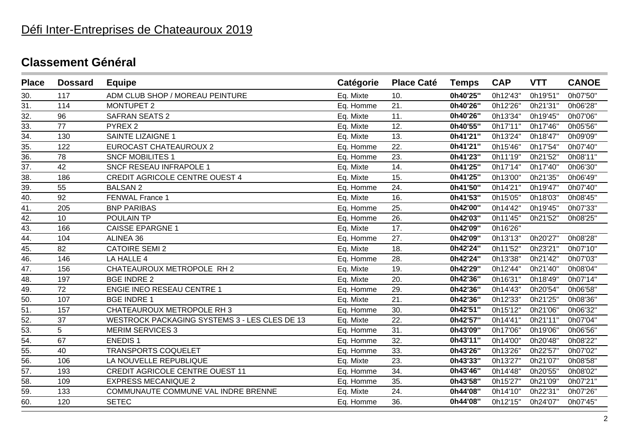| <b>Place</b>      | <b>Dossard</b> | <b>Equipe</b>                                        | Catégorie | <b>Place Caté</b> | <b>Temps</b> | <b>CAP</b> | <b>VTT</b> | <b>CANOE</b> |
|-------------------|----------------|------------------------------------------------------|-----------|-------------------|--------------|------------|------------|--------------|
| 30.               | 117            | ADM CLUB SHOP / MOREAU PEINTURE                      | Eq. Mixte | 10.               | 0h40'25"     | 0h12'43"   | 0h19'51"   | 0h07'50"     |
| 31.               | 114            | <b>MONTUPET 2</b>                                    | Eq. Homme | 21.               | 0h40'26"     | 0h12'26"   | 0h21'31"   | 0h06'28"     |
| 32.               | 96             | <b>SAFRAN SEATS 2</b>                                | Eq. Mixte | 11.               | 0h40'26"     | 0h13'34"   | 0h19'45"   | 0h07'06"     |
| 33.               | 77             | PYREX <sub>2</sub>                                   | Eq. Mixte | 12.               | 0h40'55"     | 0h17'11"   | 0h17'46"   | 0h05'56"     |
| $\frac{34}{35}$   | 130            | SAINTE LIZAIGNE 1                                    | Eq. Mixte | 13.               | 0h41'21"     | 0h13'24"   | 0h18'47"   | 0h09'09"     |
|                   | 122            | <b>EUROCAST CHATEAUROUX 2</b>                        | Eq. Homme | 22.               | 0h41'21"     | 0h15'46"   | 0h17'54"   | 0h07'40"     |
| 36.               | 78             | <b>SNCF MOBILITES 1</b>                              | Eq. Homme | 23.               | 0h41'23"     | 0h11'19"   | 0h21'52"   | 0h08'11"     |
| 37.               | 42             | SNCF RESEAU INFRAPOLE 1                              | Eq. Mixte | 14.               | 0h41'25"     | 0h17'14"   | 0h17'40"   | 0h06'30"     |
| 38.               | 186            | <b>CREDIT AGRICOLE CENTRE OUEST 4</b>                | Eq. Mixte | 15.               | 0h41'25"     | 0h13'00"   | 0h21'35"   | 0h06'49"     |
| 39.               | 55             | <b>BALSAN 2</b>                                      | Eq. Homme | 24.               | 0h41'50"     | 0h14'21"   | 0h19'47"   | 0h07'40"     |
| 40.               | 92             | <b>FENWAL France 1</b>                               | Eq. Mixte | 16.               | 0h41'53"     | 0h15'05"   | 0h18'03"   | 0h08'45"     |
| 41.               | 205            | <b>BNP PARIBAS</b>                                   | Eq. Homme | 25.               | 0h42'00"     | 0h14'42"   | 0h19'45"   | 0h07'33"     |
| $\overline{42}$ . | 10             | POULAIN TP                                           | Eq. Homme | 26.               | 0h42'03"     | 0h11'45"   | 0h21'52"   | 0h08'25"     |
| 43.               | 166            | <b>CAISSE EPARGNE 1</b>                              | Eq. Mixte | 17.               | 0h42'09"     | 0h16'26"   |            |              |
| 44.               | 104            | ALINEA 36                                            | Eq. Homme | 27.               | 0h42'09"     | 0h13'13"   | 0h20'27"   | 0h08'28"     |
| 45.               | 82             | <b>CATOIRE SEMI 2</b>                                | Eq. Mixte | 18.               | 0h42'24"     | 0h11'52"   | 0h23'21"   | 0h07'10"     |
| 46.               | 146            | LA HALLE 4                                           | Eq. Homme | 28.               | 0h42'24"     | 0h13'38"   | 0h21'42"   | 0h07'03"     |
| 47.               | 156            | CHATEAUROUX METROPOLE RH 2                           | Eq. Mixte | 19.               | 0h42'29"     | 0h12'44"   | 0h21'40"   | 0h08'04"     |
| 48.               | 197            | <b>BGE INDRE 2</b>                                   | Eq. Mixte | 20.               | 0h42'36"     | 0h16'31"   | 0h18'49"   | 0h07'14"     |
| $\overline{49}$ . | 72             | <b>ENGIE INEO RESEAU CENTRE 1</b>                    | Eq. Homme | 29.               | 0h42'36"     | 0h14'43"   | 0h20'54"   | 0h06'58"     |
| 50.               | 107            | <b>BGE INDRE 1</b>                                   | Eq. Mixte | 21.               | 0h42'36"     | 0h12'33"   | 0h21'25"   | 0h08'36"     |
| 51.               | 157            | CHATEAUROUX METROPOLE RH 3                           | Eq. Homme | 30.               | 0h42'51"     | 0h15'12"   | 0h21'06"   | 0h06'32"     |
| 52.               | 37             | <b>WESTROCK PACKAGING SYSTEMS 3 - LES CLES DE 13</b> | Eq. Mixte | 22.               | 0h42'57"     | 0h14'41"   | 0h21'11"   | 0h07'04"     |
| 53.               | 5              | <b>MERIM SERVICES 3</b>                              | Eq. Homme | 31.               | 0h43'09"     | 0h17'06"   | 0h19'06"   | 0h06'56"     |
| $\overline{54}$ . | 67             | <b>ENEDIS1</b>                                       | Eq. Homme | 32.               | 0h43'11"     | 0h14'00"   | 0h20'48"   | 0h08'22"     |
| $\overline{55}$ . | 40             | <b>TRANSPORTS COQUELET</b>                           | Eq. Homme | 33.               | 0h43'26"     | 0h13'26"   | 0h22'57"   | 0h07'02"     |
| $\overline{56}$   | 106            | LA NOUVELLE REPUBLIQUE                               | Eq. Mixte | 23.               | 0h43'33"     | 0h13'27"   | 0h21'07"   | 0h08'58"     |
| 57.               | 193            | <b>CREDIT AGRICOLE CENTRE OUEST 11</b>               | Eq. Homme | 34.               | 0h43'46"     | 0h14'48"   | 0h20'55"   | 0h08'02"     |
| 58.               | 109            | <b>EXPRESS MECANIQUE 2</b>                           | Eq. Homme | 35.               | 0h43'58"     | 0h15'27"   | 0h21'09"   | 0h07'21"     |
| 59.               | 133            | COMMUNAUTE COMMUNE VAL INDRE BRENNE                  | Eq. Mixte | 24.               | 0h44'08"     | 0h14'10"   | 0h22'31"   | 0h07'26"     |
| 60.               | 120            | <b>SETEC</b>                                         | Eq. Homme | 36.               | 0h44'08"     | 0h12'15"   | 0h24'07"   | 0h07'45"     |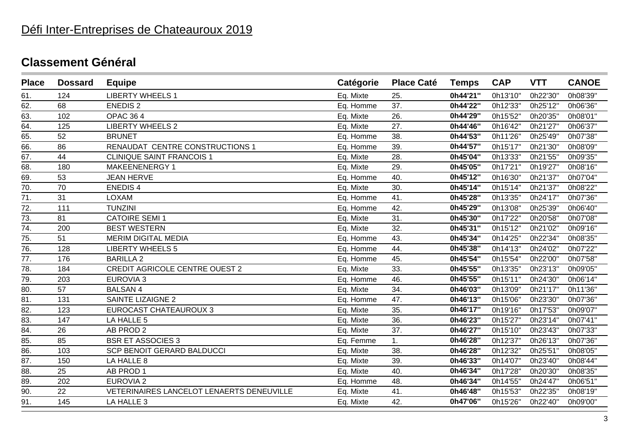# Défi Inter-Entreprises de Chateauroux 2019

| <b>Place</b>      | <b>Dossard</b> | <b>Equipe</b>                             | Catégorie | <b>Place Caté</b> | <b>Temps</b> | <b>CAP</b> | <b>VTT</b> | <b>CANOE</b> |
|-------------------|----------------|-------------------------------------------|-----------|-------------------|--------------|------------|------------|--------------|
| 61.               | 124            | <b>LIBERTY WHEELS 1</b>                   | Eq. Mixte | 25.               | 0h44'21"     | 0h13'10"   | 0h22'30"   | 0h08'39"     |
| 62.               | 68             | <b>ENEDIS 2</b>                           | Eq. Homme | 37.               | 0h44'22"     | 0h12'33"   | 0h25'12"   | 0h06'36"     |
| 63.               | 102            | <b>OPAC 364</b>                           | Eq. Mixte | 26.               | 0h44'29"     | 0h15'52"   | 0h20'35"   | 0h08'01"     |
| 64.               | 125            | <b>LIBERTY WHEELS 2</b>                   | Eq. Mixte | 27.               | 0h44'46"     | 0h16'42"   | 0h21'27"   | 0h06'37"     |
| 65.               | 52             | <b>BRUNET</b>                             | Eq. Homme | 38.               | 0h44'53"     | 0h11'26"   | 0h25'49"   | 0h07'38"     |
| 66.               | 86             | RENAUDAT CENTRE CONSTRUCTIONS 1           | Eq. Homme | 39.               | 0h44'57"     | 0h15'17"   | 0h21'30"   | 0h08'09"     |
| 67.               | 44             | <b>CLINIQUE SAINT FRANCOIS 1</b>          | Eq. Mixte | 28.               | 0h45'04"     | 0h13'33"   | 0h21'55"   | 0h09'35"     |
| 68.               | 180            | MAKEENENERGY 1                            | Eq. Mixte | 29.               | 0h45'05"     | 0h17'21"   | 0h19'27"   | 0h08'16"     |
| 69.               | 53             | <b>JEAN HERVE</b>                         | Eq. Homme | 40.               | 0h45'12"     | 0h16'30"   | 0h21'37"   | 0h07'04"     |
| $\overline{70}$ . | 70             | <b>ENEDIS4</b>                            | Eq. Mixte | 30.               | 0h45'14"     | 0h15'14"   | 0h21'37"   | 0h08'22"     |
| 71.               | 31             | <b>LOXAM</b>                              | Eq. Homme | 41.               | 0h45'28"     | 0h13'35"   | 0h24'17"   | 0h07'36"     |
| 72.               | 111            | <b>TUNZINI</b>                            | Eq. Homme | 42.               | 0h45'29"     | 0h13'08"   | 0h25'39"   | 0h06'40"     |
| 73.               | 81             | <b>CATOIRE SEMI 1</b>                     | Eq. Mixte | 31.               | 0h45'30"     | 0h17'22"   | 0h20'58"   | 0h07'08"     |
| 74.               | 200            | <b>BEST WESTERN</b>                       | Eq. Mixte | 32.               | 0h45'31"     | 0h15'12"   | 0h21'02"   | 0h09'16"     |
| 75.               | 51             | <b>MERIM DIGITAL MEDIA</b>                | Eq. Homme | 43.               | 0h45'34"     | 0h14'25"   | 0h22'34"   | 0h08'35"     |
| 76.               | 128            | <b>LIBERTY WHEELS 5</b>                   | Eq. Homme | 44.               | 0h45'38"     | 0h14'13"   | 0h24'02"   | 0h07'22"     |
| 77.               | 176            | <b>BARILLA 2</b>                          | Eq. Homme | 45.               | 0h45'54"     | 0h15'54"   | 0h22'00"   | 0h07'58"     |
| 78.               | 184            | <b>CREDIT AGRICOLE CENTRE OUEST 2</b>     | Eq. Mixte | 33.               | 0h45'55"     | 0h13'35"   | 0h23'13"   | 0h09'05"     |
| 79.               | 203            | <b>EUROVIA 3</b>                          | Eq. Homme | 46.               | 0h45'55"     | 0h15'11"   | 0h24'30"   | 0h06'14"     |
| 80.               | 57             | <b>BALSAN4</b>                            | Eq. Mixte | 34.               | 0h46'03"     | 0h13'09"   | 0h21'17"   | 0h11'36"     |
| 81.               | 131            | <b>SAINTE LIZAIGNE 2</b>                  | Eq. Homme | 47.               | 0h46'13"     | 0h15'06"   | 0h23'30'   | 0h07'36"     |
| 82.               | 123            | <b>EUROCAST CHATEAUROUX 3</b>             | Eq. Mixte | 35.               | 0h46'17"     | 0h19'16"   | 0h17'53"   | 0h09'07"     |
| 83.               | 147            | LA HALLE 5                                | Eq. Mixte | 36.               | 0h46'23"     | 0h15'27"   | 0h23'14"   | 0h07'41"     |
| 84.               | 26             | AB PROD 2                                 | Eq. Mixte | 37.               | 0h46'27"     | 0h15'10"   | 0h23'43"   | 0h07'33"     |
| 85.               | 85             | <b>BSR ET ASSOCIES 3</b>                  | Eq. Femme | 1.                | 0h46'28"     | 0h12'37"   | 0h26'13"   | 0h07'36"     |
| 86.               | 103            | SCP BENOIT GERARD BALDUCCI                | Eq. Mixte | 38.               | 0h46'28"     | 0h12'32"   | 0h25'51"   | 0h08'05"     |
| 87.               | 150            | LA HALLE 8                                | Eq. Mixte | 39.               | 0h46'33"     | 0h14'07"   | 0h23'40"   | 0h08'44"     |
| 88.               | 25             | AB PROD 1                                 | Eq. Mixte | 40.               | 0h46'34"     | 0h17'28"   | 0h20'30"   | 0h08'35"     |
| 89.               | 202            | <b>EUROVIA 2</b>                          | Eq. Homme | 48.               | 0h46'34"     | 0h14'55"   | 0h24'47"   | 0h06'51"     |
| 90.               | 22             | VETERINAIRES LANCELOT LENAERTS DENEUVILLE | Eq. Mixte | 41.               | 0h46'48"     | 0h15'53"   | 0h22'35"   | 0h08'19"     |
| 91.               | 145            | LA HALLE 3                                | Eq. Mixte | 42.               | 0h47'06"     | 0h15'26"   | 0h22'40"   | 0h09'00"     |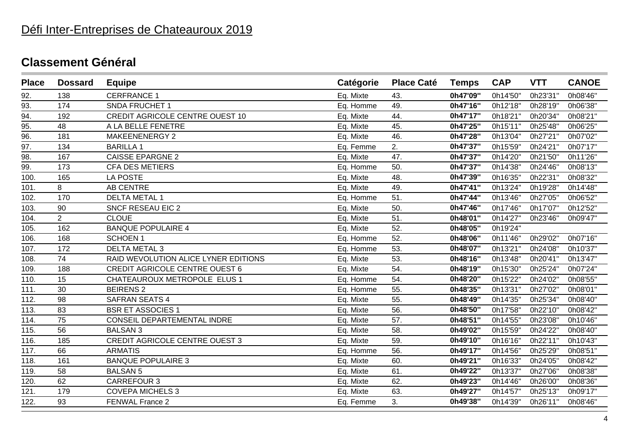# Défi Inter-Entreprises de Chateauroux 2019

| <b>Place</b> | <b>Dossard</b> | <b>Equipe</b>                          | Catégorie | <b>Place Caté</b> | <b>Temps</b> | <b>CAP</b> | <b>VTT</b> | <b>CANOE</b> |
|--------------|----------------|----------------------------------------|-----------|-------------------|--------------|------------|------------|--------------|
| 92.          | 138            | <b>CERFRANCE 1</b>                     | Eq. Mixte | 43.               | 0h47'09"     | 0h14'50"   | 0h23'31"   | 0h08'46"     |
| 93.          | 174            | <b>SNDA FRUCHET 1</b>                  | Eq. Homme | 49.               | 0h47'16"     | 0h12'18"   | 0h28'19"   | 0h06'38"     |
| 94.          | 192            | <b>CREDIT AGRICOLE CENTRE OUEST 10</b> | Eq. Mixte | 44.               | 0h47'17"     | 0h18'21"   | 0h20'34"   | 0h08'21"     |
| 95.          | 48             | A LA BELLE FENETRE                     | Eq. Mixte | 45.               | 0h47'25"     | 0h15'11"   | 0h25'48"   | 0h06'25"     |
| 96.          | 181            | MAKEENENERGY 2                         | Eq. Mixte | 46.               | 0h47'28"     | 0h13'04"   | 0h27'21"   | 0h07'02"     |
| 97.          | 134            | <b>BARILLA1</b>                        | Eq. Femme | 2.                | 0h47'37"     | 0h15'59"   | 0h24'21"   | 0h07'17"     |
| 98.          | 167            | <b>CAISSE EPARGNE 2</b>                | Eq. Mixte | 47.               | 0h47'37"     | 0h14'20"   | 0h21'50"   | 0h11'26"     |
| 99.          | 173            | <b>CFA DES METIERS</b>                 | Eq. Homme | 50.               | 0h47'37"     | 0h14'38"   | 0h24'46"   | 0h08'13"     |
| 100.         | 165            | <b>LA POSTE</b>                        | Eq. Mixte | 48.               | 0h47'39"     | 0h16'35"   | 0h22'31"   | 0h08'32"     |
| 101.         | 8              | AB CENTRE                              | Eq. Mixte | 49.               | 0h47'41"     | 0h13'24"   | 0h19'28"   | 0h14'48"     |
| 102.         | 170            | <b>DELTA METAL 1</b>                   | Eq. Homme | 51.               | 0h47'44"     | 0h13'46"   | 0h27'05"   | 0h06'52"     |
| 103.         | 90             | <b>SNCF RESEAU EIC 2</b>               | Eq. Mixte | 50.               | 0h47'46"     | 0h17'46"   | 0h17'07"   | 0h12'52"     |
| 104.         | $\overline{2}$ | <b>CLOUE</b>                           | Eq. Mixte | 51.               | 0h48'01"     | 0h14'27"   | 0h23'46"   | 0h09'47"     |
| 105.         | 162            | <b>BANQUE POPULAIRE 4</b>              | Eq. Mixte | 52.               | 0h48'05"     | 0h19'24"   |            |              |
| 106.         | 168            | <b>SCHOEN1</b>                         | Eq. Homme | 52.               | 0h48'06"     | 0h11'46"   | 0h29'02"   | 0h07'16"     |
| 107.         | 172            | <b>DELTA METAL 3</b>                   | Eq. Homme | 53.               | 0h48'07"     | 0h13'21"   | 0h24'08"   | 0h10'37"     |
| 108.         | 74             | RAID WEVOLUTION ALICE LYNER EDITIONS   | Eq. Mixte | 53.               | 0h48'16"     | 0h13'48"   | 0h20'41"   | 0h13'47"     |
| 109.         | 188            | <b>CREDIT AGRICOLE CENTRE OUEST 6</b>  | Eq. Mixte | 54.               | 0h48'19"     | 0h15'30"   | 0h25'24"   | 0h07'24"     |
| 110.         | 15             | CHATEAUROUX METROPOLE ELUS 1           | Eq. Homme | 54.               | 0h48'20"     | 0h15'22"   | 0h24'02"   | 0h08'55"     |
| 111.         | 30             | <b>BEIRENS 2</b>                       | Eq. Homme | 55.               | 0h48'35"     | 0h13'31"   | 0h27'02"   | 0h08'01"     |
| 112.         | 98             | SAFRAN SEATS 4                         | Eq. Mixte | 55.               | 0h48'49"     | 0h14'35"   | 0h25'34"   | 0h08'40"     |
| 113.         | 83             | <b>BSR ET ASSOCIES 1</b>               | Eq. Mixte | 56.               | 0h48'50"     | 0h17'58"   | 0h22'10"   | 0h08'42"     |
| 114.         | 75             | CONSEIL DEPARTEMENTAL INDRE            | Eq. Mixte | 57.               | 0h48'51"     | 0h14'55"   | 0h23'08"   | 0h10'46"     |
| 115.         | 56             | <b>BALSAN 3</b>                        | Eq. Mixte | 58.               | 0h49'02"     | 0h15'59"   | 0h24'22"   | 0h08'40"     |
| 116.         | 185            | <b>CREDIT AGRICOLE CENTRE OUEST 3</b>  | Eq. Mixte | 59.               | 0h49'10"     | 0h16'16"   | 0h22'11"   | 0h10'43"     |
| 117.         | 66             | <b>ARMATIS</b>                         | Eq. Homme | 56.               | 0h49'17"     | 0h14'56"   | 0h25'29"   | 0h08'51"     |
| 118.         | 161            | <b>BANQUE POPULAIRE 3</b>              | Eq. Mixte | 60.               | 0h49'21"     | 0h16'33"   | 0h24'05"   | 0h08'42"     |
| 119.         | 58             | <b>BALSAN 5</b>                        | Eq. Mixte | 61.               | 0h49'22"     | 0h13'37"   | 0h27'06"   | 0h08'38"     |
| 120.         | 62             | <b>CARREFOUR 3</b>                     | Eq. Mixte | 62.               | 0h49'23"     | 0h14'46"   | 0h26'00"   | 0h08'36"     |
| 121.         | 179            | <b>COVEPA MICHELS 3</b>                | Eq. Mixte | 63.               | 0h49'27"     | 0h14'57"   | 0h25'13"   | 0h09'17"     |
| 122.         | 93             | FENWAL France 2                        | Eq. Femme | 3.                | 0h49'38"     | 0h14'39"   | 0h26'11"   | 0h08'46"     |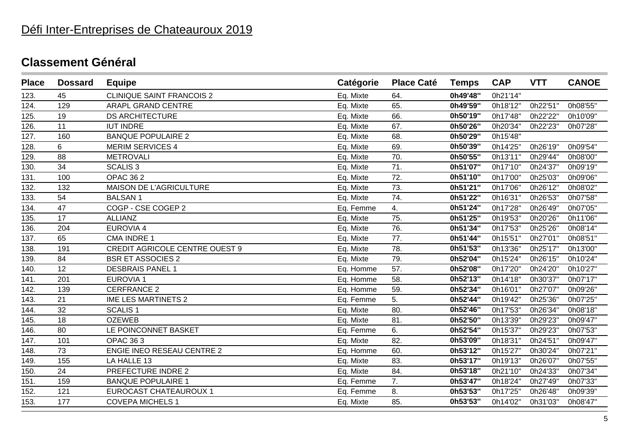| <b>Place</b> | <b>Dossard</b> | <b>Equipe</b>                         | Catégorie | <b>Place Caté</b> | <b>Temps</b> | <b>CAP</b> | <b>VTT</b> | <b>CANOE</b> |
|--------------|----------------|---------------------------------------|-----------|-------------------|--------------|------------|------------|--------------|
| 123.         | 45             | <b>CLINIQUE SAINT FRANCOIS 2</b>      | Eq. Mixte | 64.               | 0h49'48"     | 0h21'14"   |            |              |
| 124.         | 129            | <b>ARAPL GRAND CENTRE</b>             | Eq. Mixte | 65.               | 0h49'59"     | 0h18'12"   | 0h22'51"   | 0h08'55"     |
| 125.         | 19             | <b>DS ARCHITECTURE</b>                | Eq. Mixte | 66.               | 0h50'19"     | 0h17'48"   | 0h22'22"   | 0h10'09"     |
| 126.         | 11             | <b>IUT INDRE</b>                      | Eq. Mixte | 67.               | 0h50'26"     | 0h20'34"   | 0h22'23"   | 0h07'28"     |
| 127.         | 160            | <b>BANQUE POPULAIRE 2</b>             | Eq. Mixte | 68.               | 0h50'29"     | 0h15'48"   |            |              |
| 128.         | 6              | <b>MERIM SERVICES 4</b>               | Eq. Mixte | 69.               | 0h50'39"     | 0h14'25"   | 0h26'19"   | 0h09'54"     |
| 129.         | 88             | <b>METROVALI</b>                      | Eq. Mixte | 70.               | 0h50'55"     | 0h13'11"   | 0h29'44"   | 0h08'00"     |
| 130.         | 34             | <b>SCALIS 3</b>                       | Eq. Mixte | 71.               | 0h51'07"     | 0h17'10"   | 0h24'37"   | 0h09'19"     |
| 131.         | 100            | <b>OPAC 362</b>                       | Eq. Mixte | 72.               | 0h51'10"     | 0h17'00"   | 0h25'03"   | 0h09'06"     |
| 132.         | 132            | MAISON DE L'AGRICULTURE               | Eq. Mixte | 73.               | 0h51'21"     | 0h17'06"   | 0h26'12"   | 0h08'02"     |
| 133.         | 54             | <b>BALSAN1</b>                        | Eq. Mixte | 74.               | 0h51'22"     | 0h16'31"   | 0h26'53"   | 0h07'58"     |
| 134.         | 47             | COGP - CSE COGEP 2                    | Eq. Femme | 4.                | 0h51'24"     | 0h17'28"   | 0h26'49"   | 0h07'05"     |
| 135.         | 17             | <b>ALLIANZ</b>                        | Eq. Mixte | 75.               | 0h51'25"     | 0h19'53"   | 0h20'26"   | 0h11'06"     |
| 136.         | 204            | <b>EUROVIA 4</b>                      | Eq. Mixte | 76.               | 0h51'34"     | 0h17'53"   | 0h25'26"   | 0h08'14"     |
| 137.         | 65             | <b>CMA INDRE 1</b>                    | Eq. Mixte | 77.               | 0h51'44"     | 0h15'51"   | 0h27'01"   | 0h08'51"     |
| 138.         | 191            | <b>CREDIT AGRICOLE CENTRE OUEST 9</b> | Eq. Mixte | 78.               | 0h51'53"     | 0h13'36"   | 0h25'17"   | 0h13'00"     |
| 139.         | 84             | <b>BSR ET ASSOCIES 2</b>              | Eq. Mixte | 79.               | 0h52'04"     | 0h15'24"   | 0h26'15"   | 0h10'24"     |
| 140.         | 12             | <b>DESBRAIS PANEL 1</b>               | Eq. Homme | 57.               | 0h52'08"     | 0h17'20"   | 0h24'20"   | 0h10'27"     |
| 141.         | 201            | <b>EUROVIA 1</b>                      | Eq. Homme | 58.               | 0h52'13"     | 0h14'18"   | 0h30'37"   | 0h07'17"     |
| 142.         | 139            | <b>CERFRANCE 2</b>                    | Eq. Homme | 59.               | 0h52'34"     | 0h16'01"   | 0h27'07"   | 0h09'26"     |
| 143.         | 21             | <b>IME LES MARTINETS 2</b>            | Eq. Femme | 5.                | 0h52'44"     | 0h19'42"   | 0h25'36"   | 0h07'25"     |
| 144.         | 32             | <b>SCALIS1</b>                        | Eq. Mixte | 80.               | 0h52'46"     | 0h17'53"   | 0h26'34"   | 0h08'18"     |
| 145.         | 18             | <b>OZEWEB</b>                         | Eq. Mixte | 81.               | 0h52'50"     | 0h13'39"   | 0h29'23"   | 0h09'47"     |
| 146.         | 80             | LE POINCONNET BASKET                  | Eq. Femme | 6.                | 0h52'54"     | 0h15'37"   | 0h29'23"   | 0h07'53"     |
| 147.         | 101            | <b>OPAC 363</b>                       | Eq. Mixte | 82.               | 0h53'09"     | 0h18'31"   | 0h24'51"   | 0h09'47"     |
| 148.         | 73             | <b>ENGIE INEO RESEAU CENTRE 2</b>     | Eq. Homme | 60.               | 0h53'12"     | 0h15'27"   | 0h30'24"   | 0h07'21"     |
| 149.         | 155            | LA HALLE 13                           | Eq. Mixte | 83.               | 0h53'17"     | 0h19'13"   | 0h26'07'   | 0h07'55"     |
| 150.         | 24             | PREFECTURE INDRE 2                    | Eq. Mixte | 84.               | 0h53'18"     | 0h21'10"   | 0h24'33"   | 0h07'34"     |
| 151.         | 159            | <b>BANQUE POPULAIRE 1</b>             | Eq. Femme | 7.                | 0h53'47"     | 0h18'24"   | 0h27'49"   | 0h07'33"     |
| 152.         | 121            | EUROCAST CHATEAUROUX 1                | Eq. Femme | 8.                | 0h53'53"     | 0h17'25"   | 0h26'48"   | 0h09'39"     |
| 153.         | 177            | <b>COVEPA MICHELS 1</b>               | Eq. Mixte | 85.               | 0h53'53"     | 0h14'02"   | 0h31'03"   | 0h08'47"     |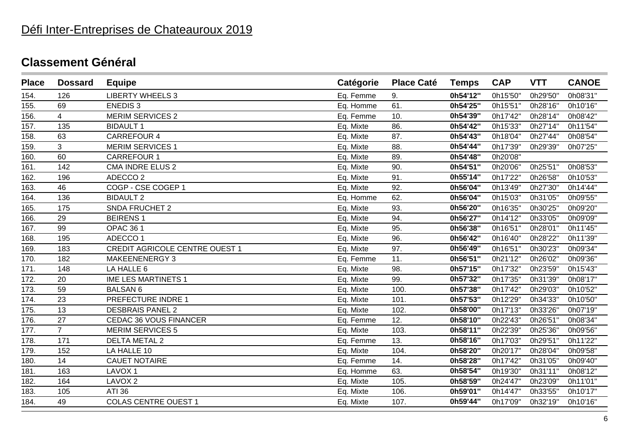# Défi Inter-Entreprises de Chateauroux 2019

| <b>Place</b> | <b>Dossard</b> | <b>Equipe</b>                  | Catégorie | <b>Place Caté</b> | <b>Temps</b> | <b>CAP</b> | <b>VTT</b> | <b>CANOE</b> |
|--------------|----------------|--------------------------------|-----------|-------------------|--------------|------------|------------|--------------|
| 154.         | 126            | <b>LIBERTY WHEELS 3</b>        | Eq. Femme | 9.                | 0h54'12"     | 0h15'50"   | 0h29'50"   | 0h08'31"     |
| 155.         | 69             | <b>ENEDIS3</b>                 | Eq. Homme | 61.               | 0h54'25"     | 0h15'51"   | 0h28'16"   | 0h10'16"     |
| 156.         | $\overline{4}$ | <b>MERIM SERVICES 2</b>        | Eq. Femme | 10.               | 0h54'39"     | 0h17'42"   | 0h28'14"   | 0h08'42"     |
| 157.         | 135            | <b>BIDAULT 1</b>               | Eq. Mixte | 86.               | 0h54'42"     | 0h15'33"   | 0h27'14"   | 0h11'54"     |
| 158.         | 63             | <b>CARREFOUR 4</b>             | Eq. Mixte | 87.               | 0h54'43"     | 0h18'04"   | 0h27'44"   | 0h08'54"     |
| 159.         | 3              | <b>MERIM SERVICES 1</b>        | Eq. Mixte | 88.               | 0h54'44"     | 0h17'39"   | 0h29'39"   | 0h07'25"     |
| 160.         | 60             | <b>CARREFOUR 1</b>             | Eq. Mixte | 89.               | 0h54'48"     | 0h20'08"   |            |              |
| 161.         | 142            | <b>CMA INDRE ELUS 2</b>        | Eq. Mixte | 90.               | 0h54'51"     | 0h20'06"   | 0h25'51"   | 0h08'53"     |
| 162.         | 196            | ADECCO <sub>2</sub>            | Eq. Mixte | 91.               | 0h55'14"     | 0h17'22"   | 0h26'58"   | 0h10'53"     |
| 163.         | 46             | COGP - CSE COGEP 1             | Eq. Mixte | 92.               | 0h56'04"     | 0h13'49"   | 0h27'30"   | 0h14'44"     |
| 164.         | 136            | <b>BIDAULT 2</b>               | Eq. Homme | 62.               | 0h56'04"     | 0h15'03"   | 0h31'05"   | 0h09'55"     |
| 165.         | 175            | SNDA FRUCHET 2                 | Eq. Mixte | 93.               | 0h56'20"     | 0h16'35"   | 0h30'25"   | 0h09'20"     |
| 166.         | 29             | <b>BEIRENS1</b>                | Eq. Mixte | 94.               | 0h56'27"     | 0h14'12"   | 0h33'05"   | 0h09'09"     |
| 167.         | 99             | <b>OPAC 361</b>                | Eq. Mixte | 95.               | 0h56'38"     | 0h16'51"   | 0h28'01"   | 0h11'45"     |
| 168.         | 195            | ADECCO <sub>1</sub>            | Eq. Mixte | 96.               | 0h56'42"     | 0h16'40"   | 0h28'22"   | 0h11'39"     |
| 169.         | 183            | CREDIT AGRICOLE CENTRE OUEST 1 | Eq. Mixte | 97.               | 0h56'49"     | 0h16'51"   | 0h30'23"   | 0h09'34"     |
| 170.         | 182            | <b>MAKEENENERGY 3</b>          | Eq. Femme | 11.               | 0h56'51"     | 0h21'12"   | 0h26'02"   | 0h09'36"     |
| 171.         | 148            | LA HALLE 6                     | Eq. Mixte | 98.               | 0h57'15"     | 0h17'32"   | 0h23'59"   | 0h15'43"     |
| 172.         | 20             | <b>IME LES MARTINETS 1</b>     | Eq. Mixte | 99.               | 0h57'32"     | 0h17'35"   | 0h31'39"   | 0h08'17"     |
| 173.         | 59             | <b>BALSAN 6</b>                | Eq. Mixte | 100.              | 0h57'38"     | 0h17'42"   | 0h29'03"   | 0h10'52"     |
| 174.         | 23             | PREFECTURE INDRE 1             | Eq. Mixte | 101.              | 0h57'53"     | 0h12'29"   | 0h34'33"   | 0h10'50"     |
| 175.         | 13             | <b>DESBRAIS PANEL 2</b>        | Eq. Mixte | 102.              | 0h58'00"     | 0h17'13"   | 0h33'26"   | 0h07'19"     |
| 176.         | 27             | <b>CEDAC 36 VOUS FINANCER</b>  | Eq. Femme | 12.               | 0h58'10"     | 0h22'43"   | 0h26'51"   | 0h08'34"     |
| 177.         | $\overline{7}$ | <b>MERIM SERVICES 5</b>        | Eq. Mixte | 103.              | 0h58'11"     | 0h22'39"   | 0h25'36"   | 0h09'56"     |
| 178.         | 171            | <b>DELTA METAL 2</b>           | Eq. Femme | 13.               | 0h58'16"     | 0h17'03"   | 0h29'51"   | 0h11'22"     |
| 179.         | 152            | LA HALLE 10                    | Eq. Mixte | 104.              | 0h58'20"     | 0h20'17"   | 0h28'04"   | 0h09'58"     |
| 180.         | 14             | <b>CAUET NOTAIRE</b>           | Eq. Femme | 14.               | 0h58'28"     | 0h17'42"   | 0h31'05'   | 0h09'40"     |
| 181.         | 163            | LAVOX <sub>1</sub>             | Eq. Homme | 63.               | 0h58'54"     | 0h19'30"   | 0h31'11"   | 0h08'12"     |
| 182.         | 164            | LAVOX <sub>2</sub>             | Eq. Mixte | 105.              | 0h58'59"     | 0h24'47"   | 0h23'09"   | 0h11'01"     |
| 183.         | 105            | <b>ATI 36</b>                  | Eq. Mixte | 106.              | 0h59'01"     | 0h14'47"   | 0h33'55"   | 0h10'17"     |
| 184.         | 49             | <b>COLAS CENTRE OUEST 1</b>    | Eq. Mixte | 107.              | 0h59'44"     | 0h17'09"   | 0h32'19"   | 0h10'16"     |